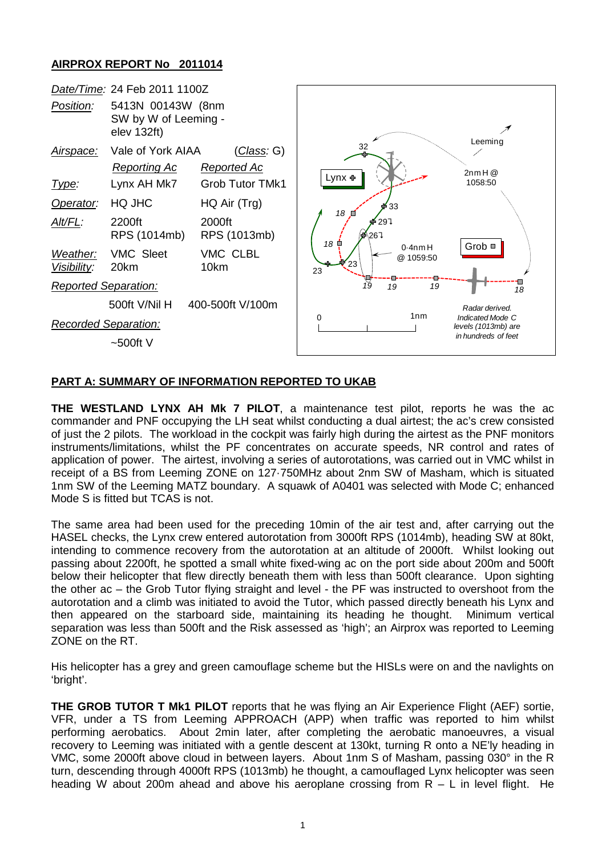## **AIRPROX REPORT No 2011014**



## **PART A: SUMMARY OF INFORMATION REPORTED TO UKAB**

**THE WESTLAND LYNX AH Mk 7 PILOT**, a maintenance test pilot, reports he was the ac commander and PNF occupying the LH seat whilst conducting a dual airtest; the ac's crew consisted of just the 2 pilots. The workload in the cockpit was fairly high during the airtest as the PNF monitors instruments/limitations, whilst the PF concentrates on accurate speeds, NR control and rates of application of power. The airtest, involving a series of autorotations, was carried out in VMC whilst in receipt of a BS from Leeming ZONE on 127·750MHz about 2nm SW of Masham, which is situated 1nm SW of the Leeming MATZ boundary. A squawk of A0401 was selected with Mode C; enhanced Mode S is fitted but TCAS is not.

The same area had been used for the preceding 10min of the air test and, after carrying out the HASEL checks, the Lynx crew entered autorotation from 3000ft RPS (1014mb), heading SW at 80kt, intending to commence recovery from the autorotation at an altitude of 2000ft. Whilst looking out passing about 2200ft, he spotted a small white fixed-wing ac on the port side about 200m and 500ft below their helicopter that flew directly beneath them with less than 500ft clearance. Upon sighting the other ac – the Grob Tutor flying straight and level - the PF was instructed to overshoot from the autorotation and a climb was initiated to avoid the Tutor, which passed directly beneath his Lynx and then appeared on the starboard side, maintaining its heading he thought. Minimum vertical separation was less than 500ft and the Risk assessed as 'high'; an Airprox was reported to Leeming ZONE on the RT.

His helicopter has a grey and green camouflage scheme but the HISLs were on and the navlights on 'bright'.

**THE GROB TUTOR T Mk1 PILOT** reports that he was flying an Air Experience Flight (AEF) sortie, VFR, under a TS from Leeming APPROACH (APP) when traffic was reported to him whilst performing aerobatics. About 2min later, after completing the aerobatic manoeuvres, a visual recovery to Leeming was initiated with a gentle descent at 130kt, turning R onto a NE'ly heading in VMC, some 2000ft above cloud in between layers. About 1nm S of Masham, passing 030° in the R turn, descending through 4000ft RPS (1013mb) he thought, a camouflaged Lynx helicopter was seen heading W about 200m ahead and above his aeroplane crossing from  $R - L$  in level flight. He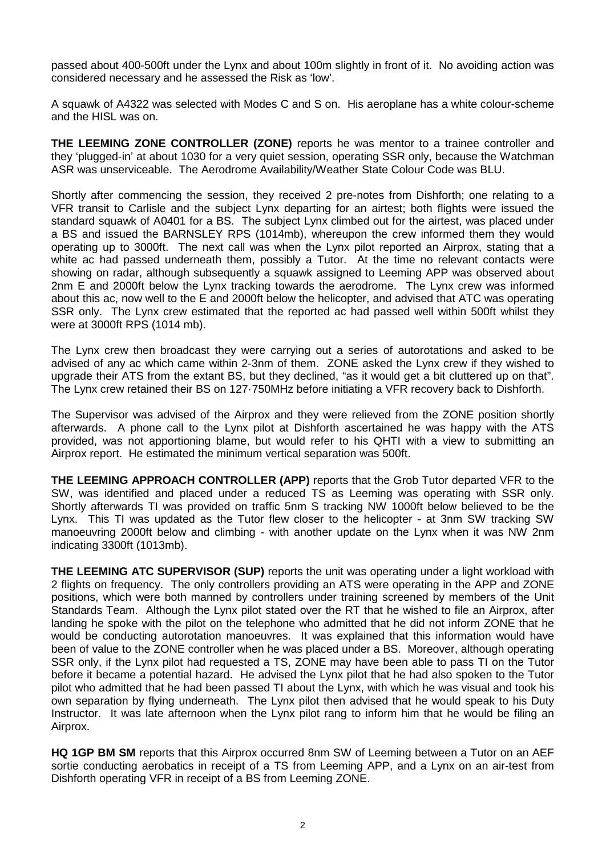passed about 400-500ft under the Lynx and about 100m slightly in front of it. No avoiding action was considered necessary and he assessed the Risk as 'low'.

A squawk of A4322 was selected with Modes C and S on. His aeroplane has a white colour-scheme and the HISL was on.

**THE LEEMING ZONE CONTROLLER (ZONE)** reports he was mentor to a trainee controller and they 'plugged-in' at about 1030 for a very quiet session, operating SSR only, because the Watchman ASR was unserviceable. The Aerodrome Availability/Weather State Colour Code was BLU.

Shortly after commencing the session, they received 2 pre-notes from Dishforth; one relating to a VFR transit to Carlisle and the subject Lynx departing for an airtest; both flights were issued the standard squawk of A0401 for a BS. The subject Lynx climbed out for the airtest, was placed under a BS and issued the BARNSLEY RPS (1014mb), whereupon the crew informed them they would operating up to 3000ft. The next call was when the Lynx pilot reported an Airprox, stating that a white ac had passed underneath them, possibly a Tutor. At the time no relevant contacts were showing on radar, although subsequently a squawk assigned to Leeming APP was observed about 2nm E and 2000ft below the Lynx tracking towards the aerodrome. The Lynx crew was informed about this ac, now well to the E and 2000ft below the helicopter, and advised that ATC was operating SSR only. The Lynx crew estimated that the reported ac had passed well within 500ft whilst they were at 3000ft RPS (1014 mb).

The Lynx crew then broadcast they were carrying out a series of autorotations and asked to be advised of any ac which came within 2-3nm of them. ZONE asked the Lynx crew if they wished to upgrade their ATS from the extant BS, but they declined, "as it would get a bit cluttered up on that". The Lynx crew retained their BS on 127·750MHz before initiating a VFR recovery back to Dishforth.

The Supervisor was advised of the Airprox and they were relieved from the ZONE position shortly afterwards. A phone call to the Lynx pilot at Dishforth ascertained he was happy with the ATS provided, was not apportioning blame, but would refer to his QHTI with a view to submitting an Airprox report. He estimated the minimum vertical separation was 500ft.

**THE LEEMING APPROACH CONTROLLER (APP)** reports that the Grob Tutor departed VFR to the SW, was identified and placed under a reduced TS as Leeming was operating with SSR only. Shortly afterwards TI was provided on traffic 5nm S tracking NW 1000ft below believed to be the Lynx. This TI was updated as the Tutor flew closer to the helicopter - at 3nm SW tracking SW manoeuvring 2000ft below and climbing - with another update on the Lynx when it was NW 2nm indicating 3300ft (1013mb).

**THE LEEMING ATC SUPERVISOR (SUP)** reports the unit was operating under a light workload with 2 flights on frequency. The only controllers providing an ATS were operating in the APP and ZONE positions, which were both manned by controllers under training screened by members of the Unit Standards Team. Although the Lynx pilot stated over the RT that he wished to file an Airprox, after landing he spoke with the pilot on the telephone who admitted that he did not inform ZONE that he would be conducting autorotation manoeuvres. It was explained that this information would have been of value to the ZONE controller when he was placed under a BS. Moreover, although operating SSR only, if the Lynx pilot had requested a TS, ZONE may have been able to pass TI on the Tutor before it became a potential hazard. He advised the Lynx pilot that he had also spoken to the Tutor pilot who admitted that he had been passed TI about the Lynx, with which he was visual and took his own separation by flying underneath. The Lynx pilot then advised that he would speak to his Duty Instructor. It was late afternoon when the Lynx pilot rang to inform him that he would be filing an Airprox.

**HQ 1GP BM SM** reports that this Airprox occurred 8nm SW of Leeming between a Tutor on an AEF sortie conducting aerobatics in receipt of a TS from Leeming APP, and a Lynx on an air-test from Dishforth operating VFR in receipt of a BS from Leeming ZONE.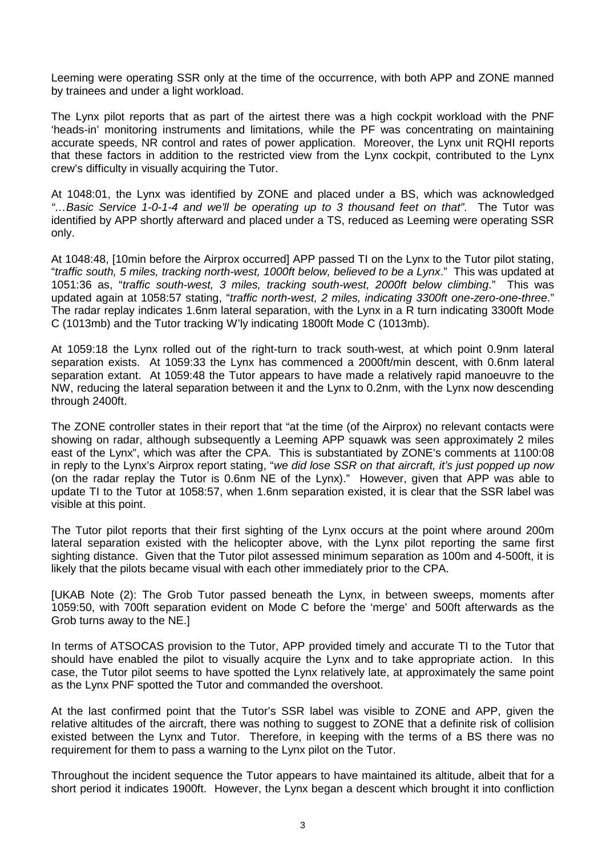Leeming were operating SSR only at the time of the occurrence, with both APP and ZONE manned by trainees and under a light workload.

The Lynx pilot reports that as part of the airtest there was a high cockpit workload with the PNF 'heads-in' monitoring instruments and limitations, while the PF was concentrating on maintaining accurate speeds. NR control and rates of power application. Moreover, the Lynx unit RQHI reports that these factors in addition to the restricted view from the Lynx cockpit, contributed to the Lynx crew's difficulty in visually acquiring the Tutor.

At 1048:01, the Lynx was identified by ZONE and placed under a BS, which was acknowledged *"…Basic Service 1-0-1-4 and we'll be operating up to 3 thousand feet on that"*. The Tutor was identified by APP shortly afterward and placed under a TS, reduced as Leeming were operating SSR only.

At 1048:48, [10min before the Airprox occurred] APP passed TI on the Lynx to the Tutor pilot stating, "*traffic south, 5 miles, tracking north-west, 1000ft below, believed to be a Lynx*." This was updated at 1051:36 as, "*traffic south-west, 3 miles, tracking south-west, 2000ft below climbing*." This was updated again at 1058:57 stating, "*traffic north-west, 2 miles, indicating 3300ft one-zero-one-three*." The radar replay indicates 1.6nm lateral separation, with the Lynx in a R turn indicating 3300ft Mode C (1013mb) and the Tutor tracking W'ly indicating 1800ft Mode C (1013mb).

At 1059:18 the Lynx rolled out of the right-turn to track south-west, at which point 0.9nm lateral separation exists. At 1059:33 the Lynx has commenced a 2000ft/min descent, with 0.6nm lateral separation extant. At 1059:48 the Tutor appears to have made a relatively rapid manoeuvre to the NW, reducing the lateral separation between it and the Lynx to 0.2nm, with the Lynx now descending through 2400ft.

The ZONE controller states in their report that "at the time (of the Airprox) no relevant contacts were showing on radar, although subsequently a Leeming APP squawk was seen approximately 2 miles east of the Lynx", which was after the CPA. This is substantiated by ZONE's comments at 1100:08 in reply to the Lynx's Airprox report stating, "*we did lose SSR on that aircraft, it's just popped up now*  (on the radar replay the Tutor is 0.6nm NE of the Lynx)." However, given that APP was able to update TI to the Tutor at 1058:57, when 1.6nm separation existed, it is clear that the SSR label was visible at this point.

The Tutor pilot reports that their first sighting of the Lynx occurs at the point where around 200m lateral separation existed with the helicopter above, with the Lynx pilot reporting the same first sighting distance. Given that the Tutor pilot assessed minimum separation as 100m and 4-500ft, it is likely that the pilots became visual with each other immediately prior to the CPA.

[UKAB Note (2): The Grob Tutor passed beneath the Lynx, in between sweeps, moments after 1059:50, with 700ft separation evident on Mode C before the 'merge' and 500ft afterwards as the Grob turns away to the NE.]

In terms of ATSOCAS provision to the Tutor, APP provided timely and accurate TI to the Tutor that should have enabled the pilot to visually acquire the Lynx and to take appropriate action. In this case, the Tutor pilot seems to have spotted the Lynx relatively late, at approximately the same point as the Lynx PNF spotted the Tutor and commanded the overshoot.

At the last confirmed point that the Tutor's SSR label was visible to ZONE and APP, given the relative altitudes of the aircraft, there was nothing to suggest to ZONE that a definite risk of collision existed between the Lynx and Tutor. Therefore, in keeping with the terms of a BS there was no requirement for them to pass a warning to the Lynx pilot on the Tutor.

Throughout the incident sequence the Tutor appears to have maintained its altitude, albeit that for a short period it indicates 1900ft. However, the Lynx began a descent which brought it into confliction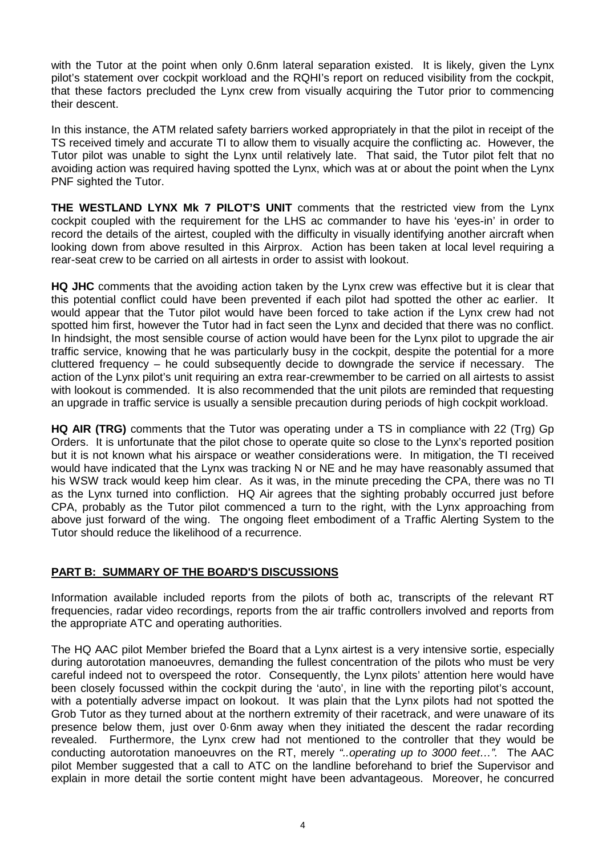with the Tutor at the point when only 0.6nm lateral separation existed. It is likely, given the Lynx pilot's statement over cockpit workload and the RQHI's report on reduced visibility from the cockpit, that these factors precluded the Lynx crew from visually acquiring the Tutor prior to commencing their descent.

In this instance, the ATM related safety barriers worked appropriately in that the pilot in receipt of the TS received timely and accurate TI to allow them to visually acquire the conflicting ac. However, the Tutor pilot was unable to sight the Lynx until relatively late. That said, the Tutor pilot felt that no avoiding action was required having spotted the Lynx, which was at or about the point when the Lynx PNF sighted the Tutor.

**THE WESTLAND LYNX Mk 7 PILOT'S UNIT** comments that the restricted view from the Lynx cockpit coupled with the requirement for the LHS ac commander to have his 'eyes-in' in order to record the details of the airtest, coupled with the difficulty in visually identifying another aircraft when looking down from above resulted in this Airprox. Action has been taken at local level requiring a rear-seat crew to be carried on all airtests in order to assist with lookout.

**HQ JHC** comments that the avoiding action taken by the Lynx crew was effective but it is clear that this potential conflict could have been prevented if each pilot had spotted the other ac earlier. It would appear that the Tutor pilot would have been forced to take action if the Lynx crew had not spotted him first, however the Tutor had in fact seen the Lynx and decided that there was no conflict. In hindsight, the most sensible course of action would have been for the Lynx pilot to upgrade the air traffic service, knowing that he was particularly busy in the cockpit, despite the potential for a more cluttered frequency – he could subsequently decide to downgrade the service if necessary. The action of the Lynx pilot's unit requiring an extra rear-crewmember to be carried on all airtests to assist with lookout is commended. It is also recommended that the unit pilots are reminded that requesting an upgrade in traffic service is usually a sensible precaution during periods of high cockpit workload.

**HQ AIR (TRG)** comments that the Tutor was operating under a TS in compliance with 22 (Trg) Gp Orders. It is unfortunate that the pilot chose to operate quite so close to the Lynx's reported position but it is not known what his airspace or weather considerations were. In mitigation, the TI received would have indicated that the Lynx was tracking N or NE and he may have reasonably assumed that his WSW track would keep him clear. As it was, in the minute preceding the CPA, there was no TI as the Lynx turned into confliction. HQ Air agrees that the sighting probably occurred just before CPA, probably as the Tutor pilot commenced a turn to the right, with the Lynx approaching from above just forward of the wing. The ongoing fleet embodiment of a Traffic Alerting System to the Tutor should reduce the likelihood of a recurrence.

## **PART B: SUMMARY OF THE BOARD'S DISCUSSIONS**

Information available included reports from the pilots of both ac, transcripts of the relevant RT frequencies, radar video recordings, reports from the air traffic controllers involved and reports from the appropriate ATC and operating authorities.

The HQ AAC pilot Member briefed the Board that a Lynx airtest is a very intensive sortie, especially during autorotation manoeuvres, demanding the fullest concentration of the pilots who must be very careful indeed not to overspeed the rotor. Consequently, the Lynx pilots' attention here would have been closely focussed within the cockpit during the 'auto', in line with the reporting pilot's account, with a potentially adverse impact on lookout. It was plain that the Lynx pilots had not spotted the Grob Tutor as they turned about at the northern extremity of their racetrack, and were unaware of its presence below them, just over 0·6nm away when they initiated the descent the radar recording revealed. Furthermore, the Lynx crew had not mentioned to the controller that they would be conducting autorotation manoeuvres on the RT, merely *"..operating up to 3000 feet…".* The AAC pilot Member suggested that a call to ATC on the landline beforehand to brief the Supervisor and explain in more detail the sortie content might have been advantageous. Moreover, he concurred